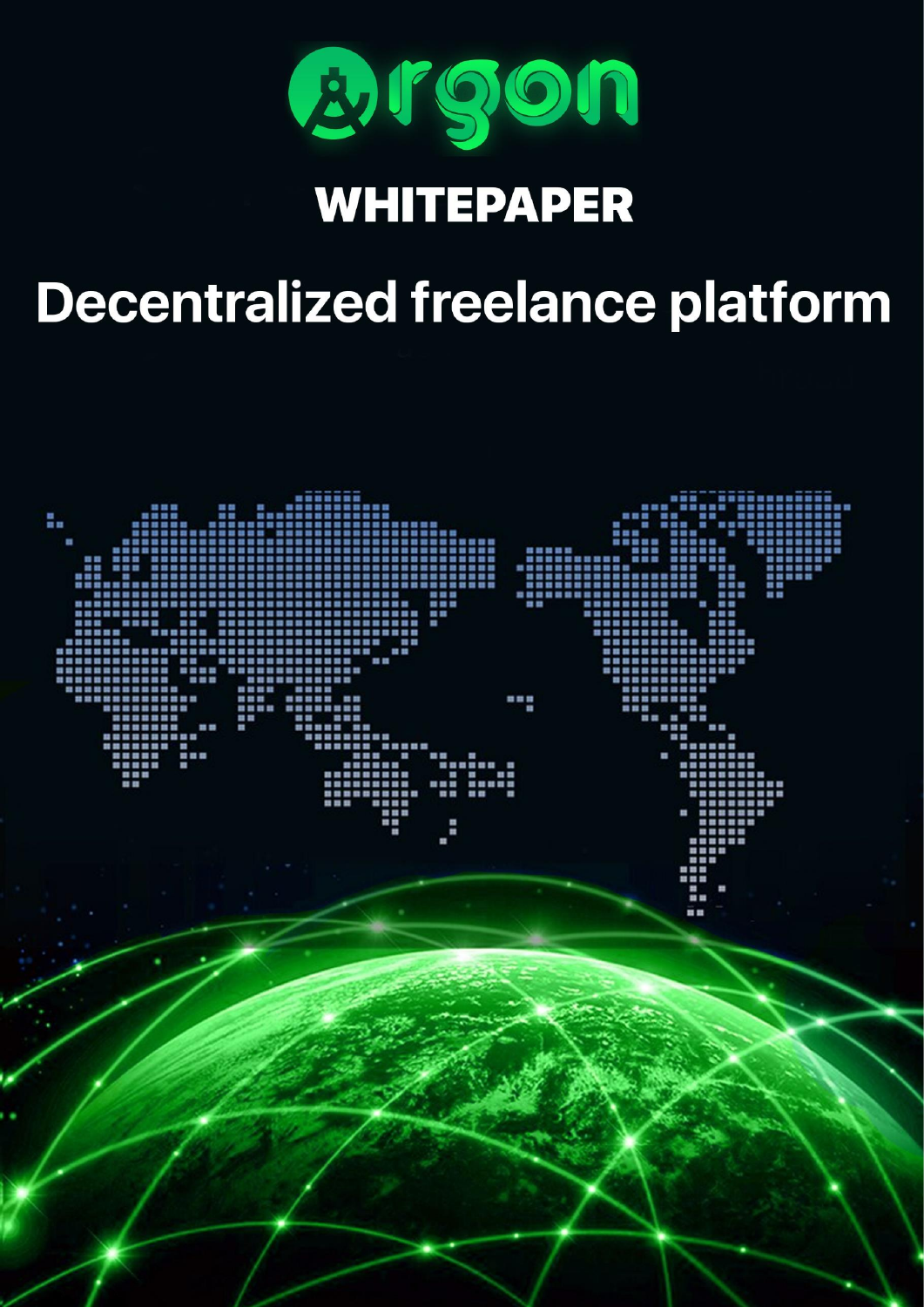

## **WHITEPAPER**

# **Decentralized freelance platform**

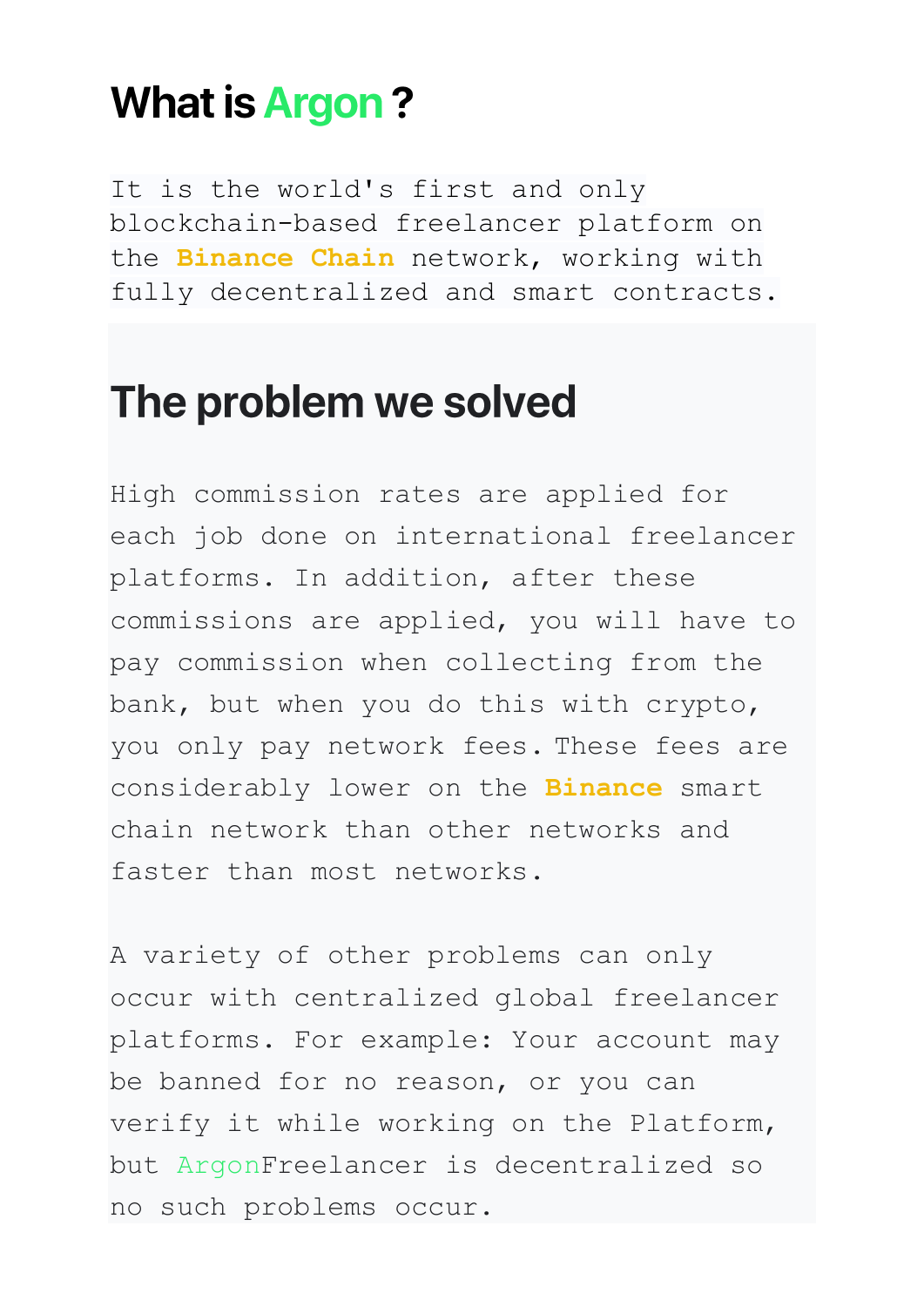#### **What is Argon?**

It is the world's first and only blockchain-based freelancer platform on the **Binance Chain** network, working with fully decentralized and smart contracts.

#### The problem we solved

High commission rates are applied for each job done on international freelancer platforms. In addition, after these commissions are applied, you will have to pay commission when collecting from the bank, but when you do this with crypto, you only pay network fees. These fees are considerably lower on the **Binance** smart chain network than other networks and faster than most networks.

A variety of other problems can only occur with centralized global freelancer platforms. For example: Your account may be banned for no reason, or you can verify it while working on the Platform, but ArgonFreelancer is decentralized so no such problems occur.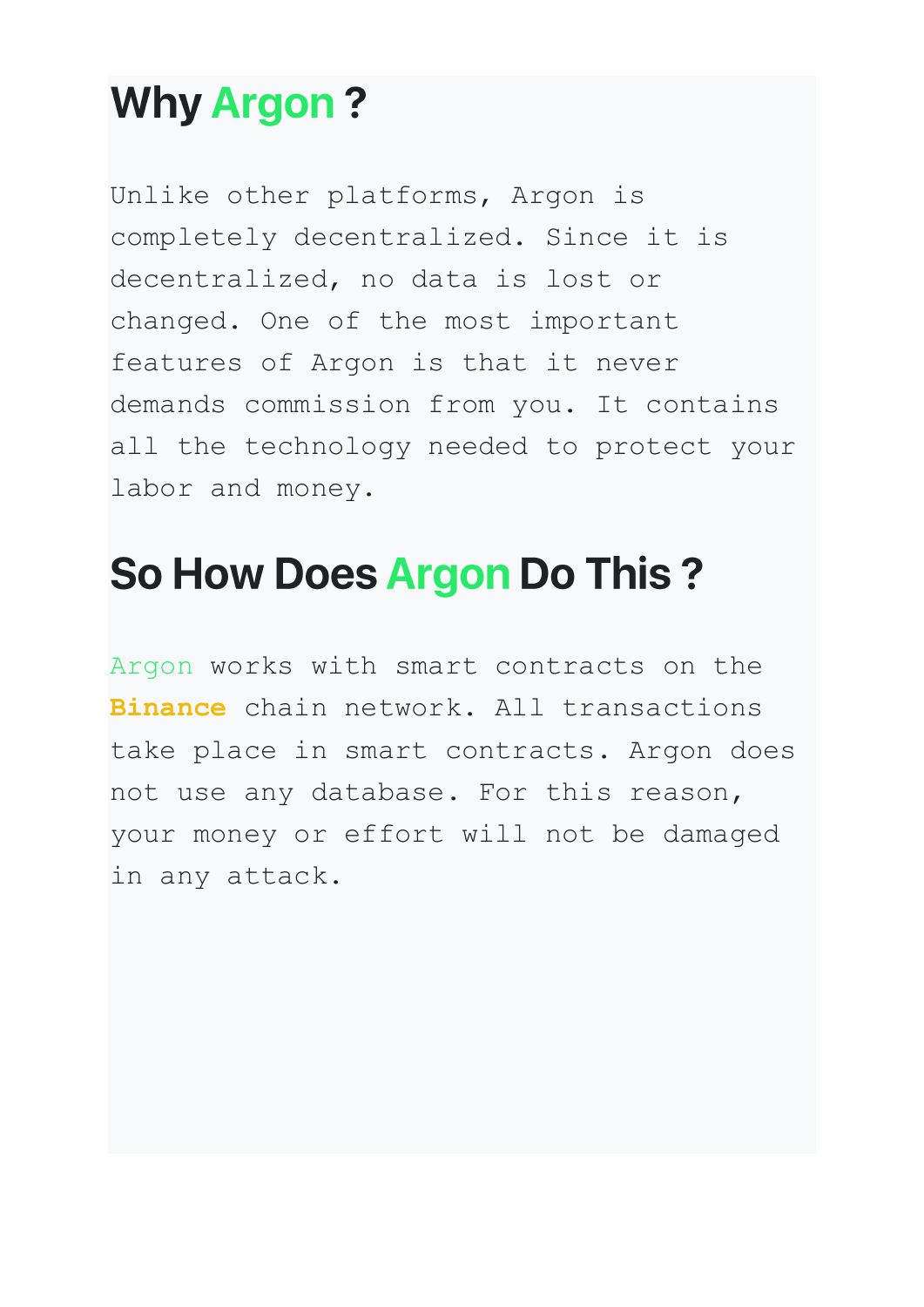#### **Why Argon?**

Unlike other platforms, Argon is completely decentralized. Since it is decentralized, no data is lost or changed. One of the most important features of Argon is that it never demands commission from you. It contains all the technology needed to protect your labor and money.

## So How Does Argon Do This?

Argon works with smart contracts on the **Binance** chain network. All transactions take place in smart contracts. Argon does not use any database. For this reason, your money or effort will not be damaged in any attack.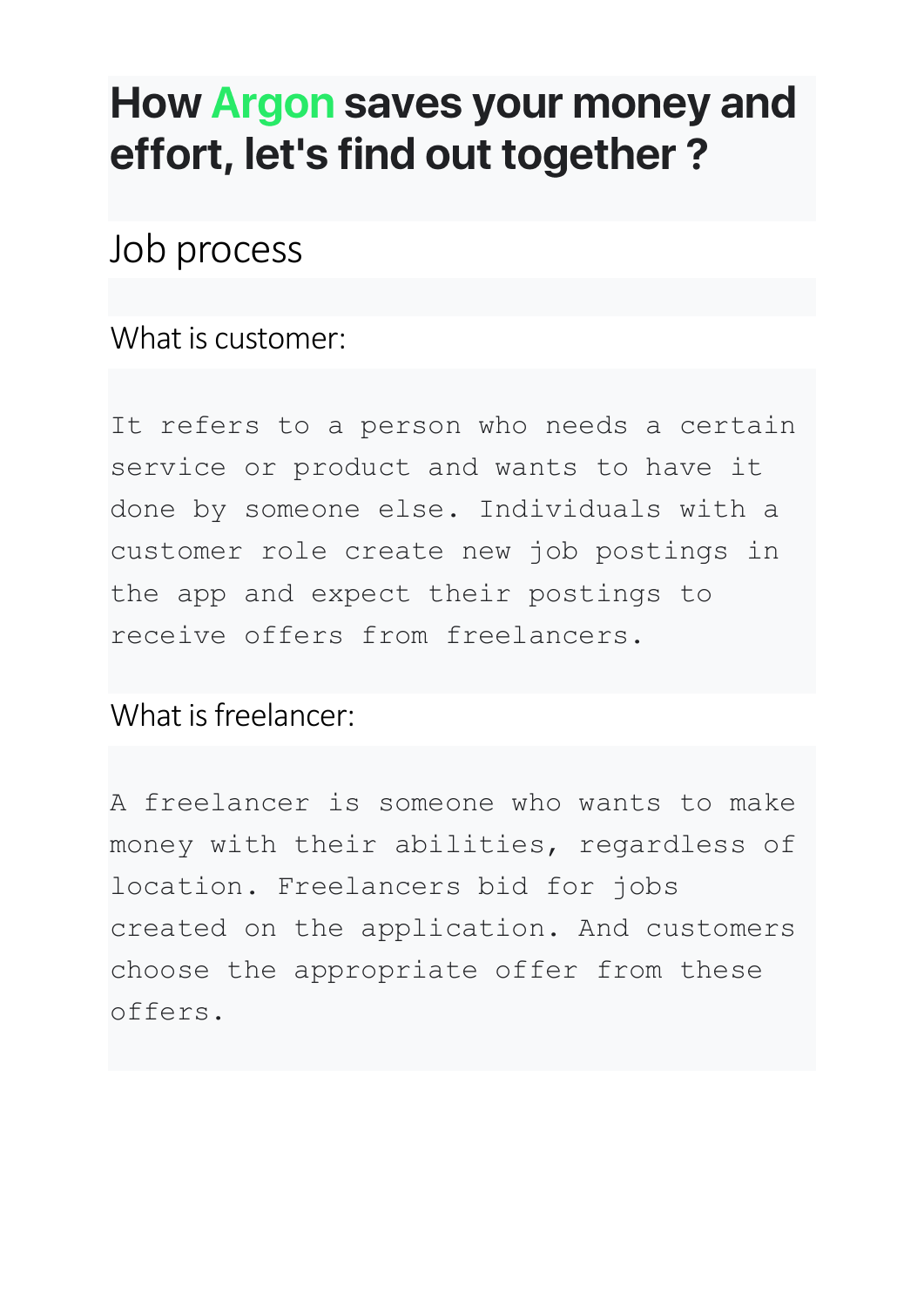### How Argon saves your money and effort, let's find out together?

#### Job process

What is customer:

It refers to a person who needs a certain service or product and wants to have it done by someone else. Individuals with a customer role create new job postings in the app and expect their postings to receive offers from freelancers.

What is freelancer:

A freelancer is someone who wants to make money with their abilities, regardless of location. Freelancers bid for jobs created on the application. And customers choose the appropriate offer from these offers.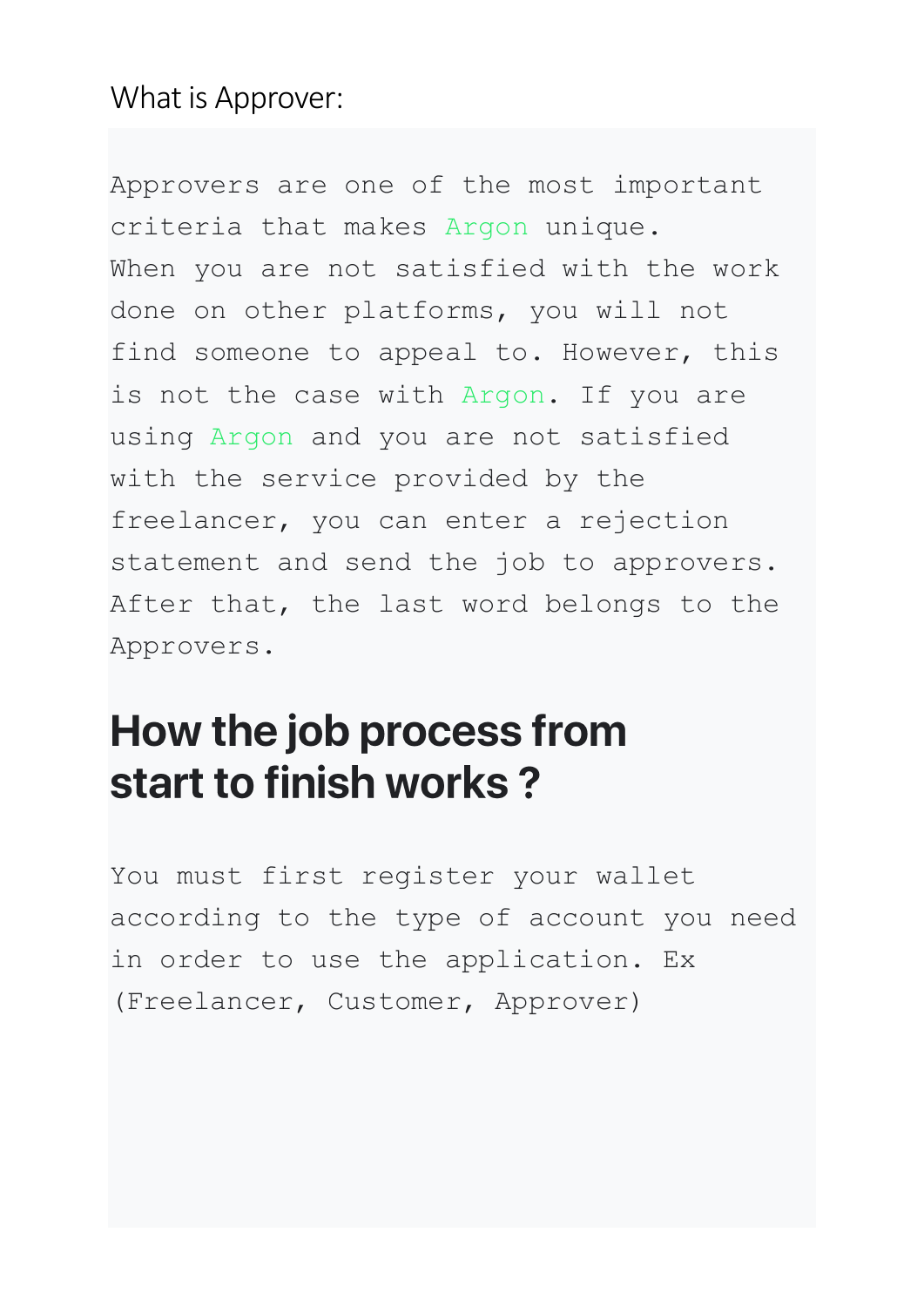#### What is Approver:

Approvers are one of the most important criteria that makes Argon unique. When you are not satisfied with the work done on other platforms, you will not find someone to appeal to. However, this is not the case with Argon. If you are using Argon and you are not satisfied with the service provided by the freelancer, you can enter a rejection statement and send the job to approvers. After that, the last word belongs to the Approvers.

### How the job process from start to finish works?

You must first register your wallet according to the type of account you need in order to use the application. Ex (Freelancer, Customer, Approver)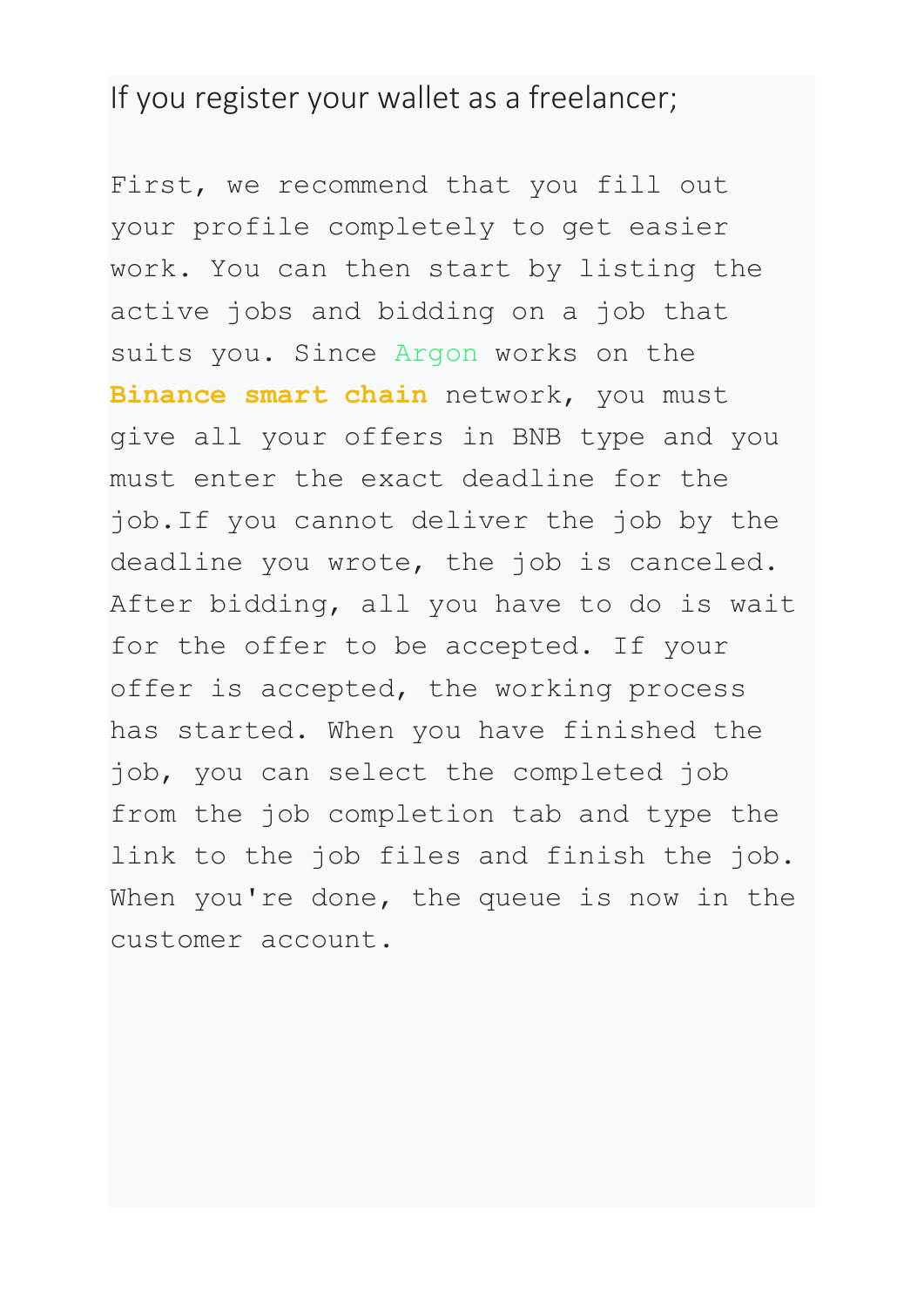#### If you register your wallet as a freelancer;

First, we recommend that you fill out your profile completely to get easier work. You can then start by listing the active jobs and bidding on a job that suits you. Since Argon works on the **Binance smart chain** network, you must give all your offers in BNB type and you must enter the exact deadline for the job.If you cannot deliver the job by the deadline you wrote, the job is canceled. After bidding, all you have to do is wait for the offer to be accepted. If your offer is accepted, the working process has started. When you have finished the job, you can select the completed job from the job completion tab and type the link to the job files and finish the job. When you're done, the queue is now in the customer account.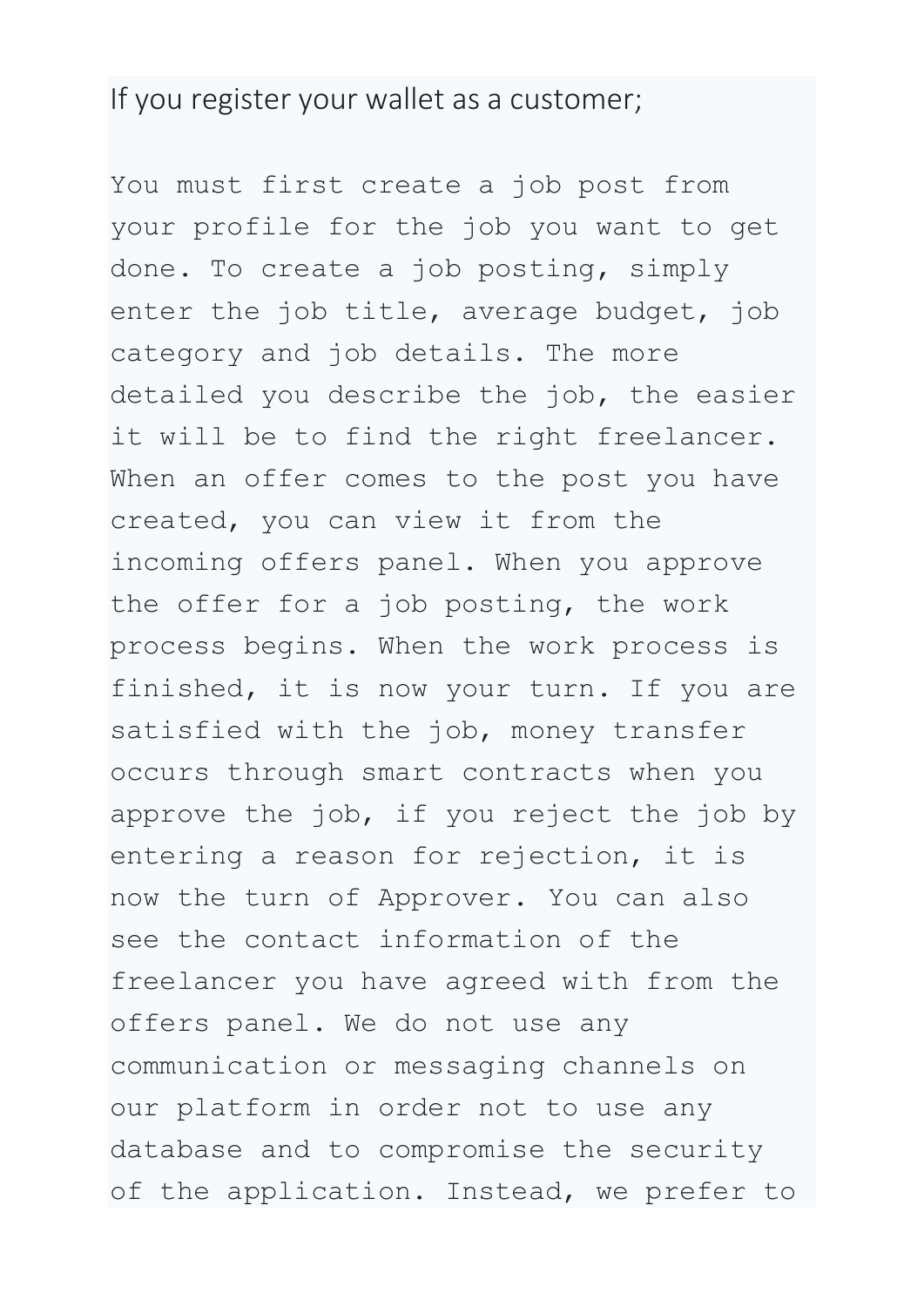#### If you register your wallet as a customer;

You must first create a job post from your profile for the job you want to get done. To create a job posting, simply enter the job title, average budget, job category and job details. The more detailed you describe the job, the easier it will be to find the right freelancer. When an offer comes to the post you have created, you can view it from the incoming offers panel. When you approve the offer for a job posting, the work process begins. When the work process is finished, it is now your turn. If you are satisfied with the job, money transfer occurs through smart contracts when you approve the job, if you reject the job by entering a reason for rejection, it is now the turn of Approver. You can also see the contact information of the freelancer you have agreed with from the offers panel. We do not use any communication or messaging channels on our platform in order not to use any database and to compromise the security of the application. Instead, we prefer to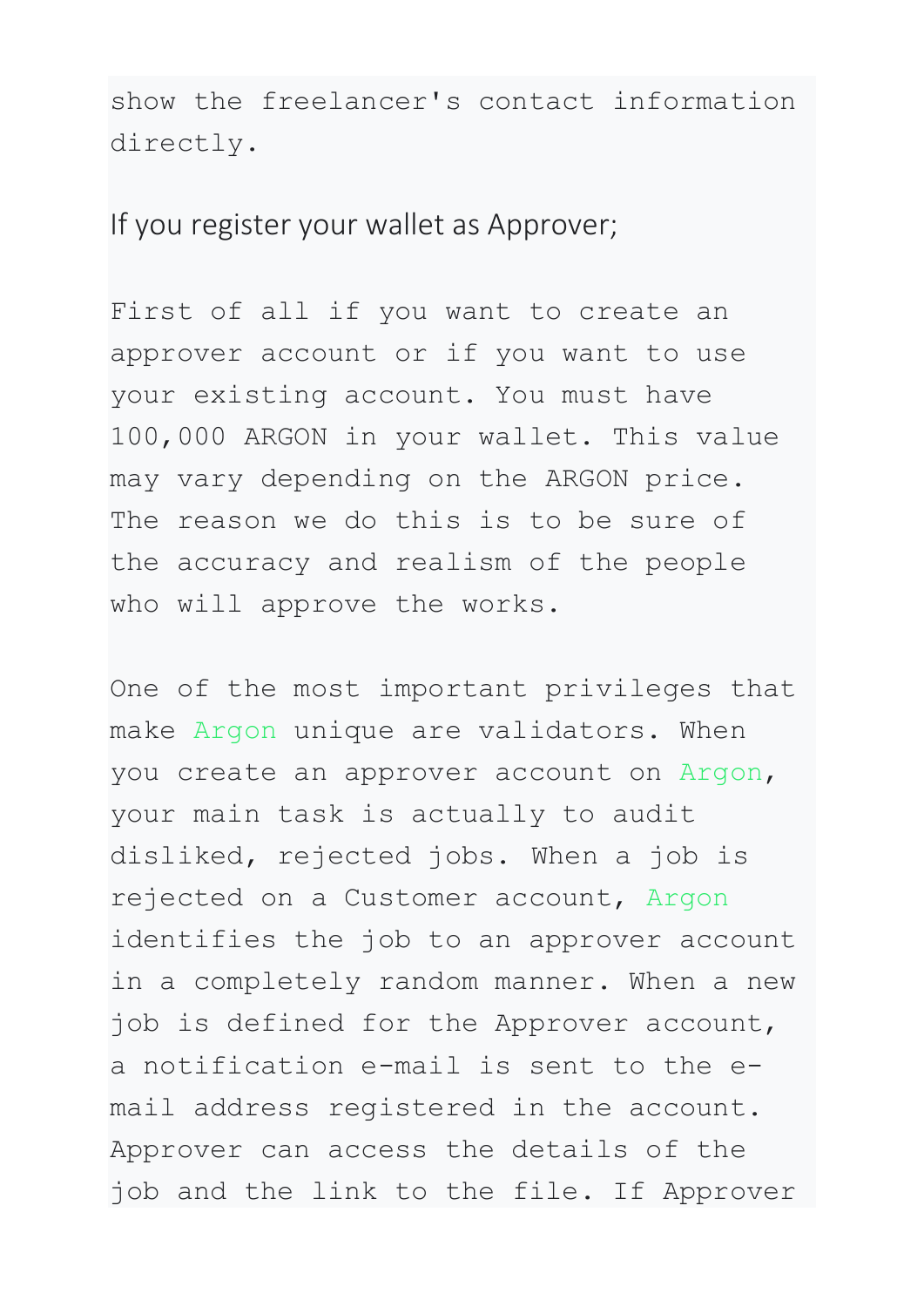show the freelancer's contact information directly.

If you register your wallet as Approver;

First of all if you want to create an approver account or if you want to use your existing account. You must have 100,000 ARGON in your wallet. This value may vary depending on the ARGON price. The reason we do this is to be sure of the accuracy and realism of the people who will approve the works.

One of the most important privileges that make Argon unique are validators. When you create an approver account on Argon, your main task is actually to audit disliked, rejected jobs. When a job is rejected on a Customer account, Argon identifies the job to an approver account in a completely random manner. When a new job is defined for the Approver account, a notification e-mail is sent to the email address registered in the account. Approver can access the details of the job and the link to the file. If Approver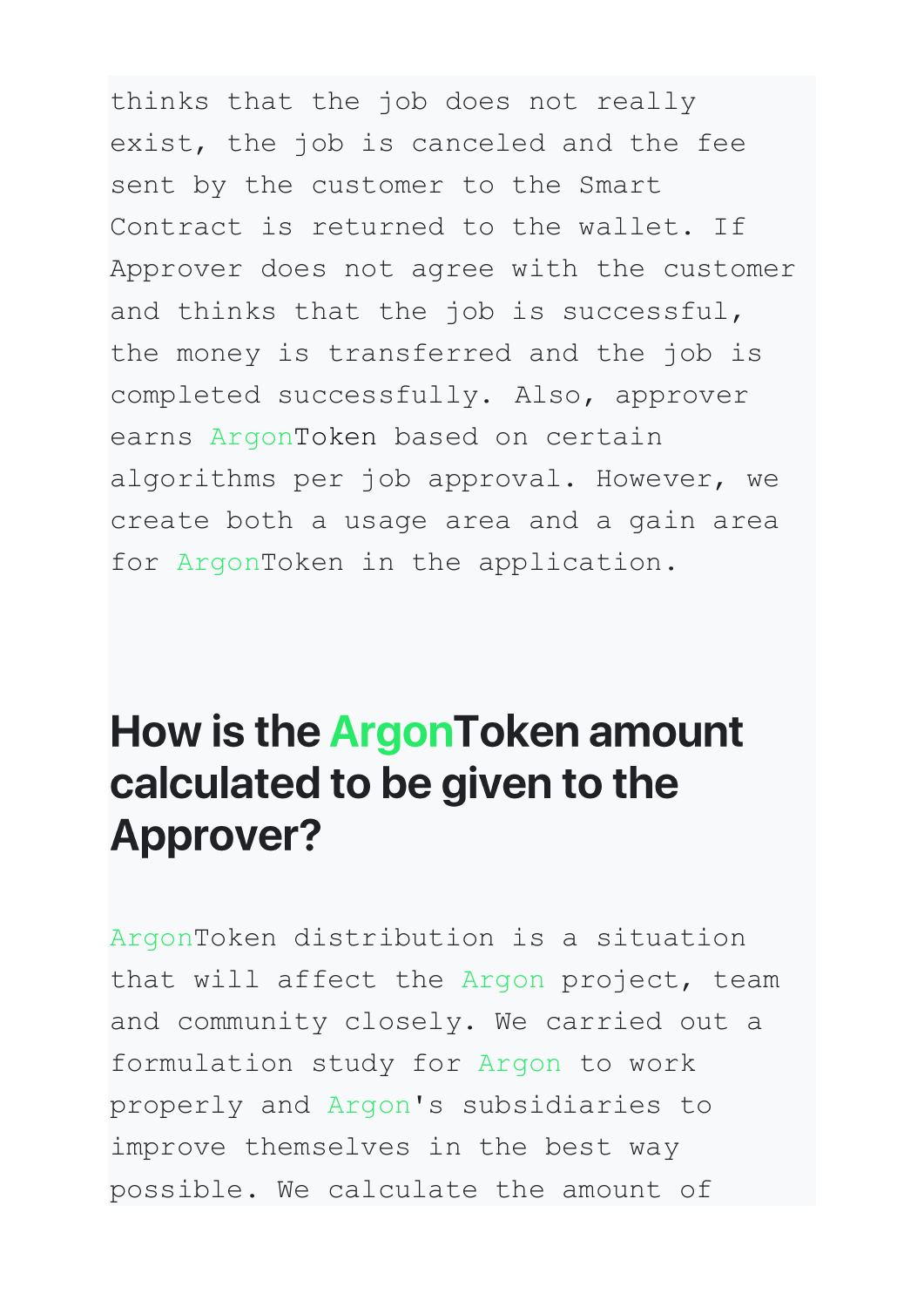thinks that the job does not really exist, the job is canceled and the fee sent by the customer to the Smart Contract is returned to the wallet. If Approver does not agree with the customer and thinks that the job is successful, the money is transferred and the job is completed successfully. Also, approver earns ArgonToken based on certain algorithms per job approval. However, we create both a usage area and a gain area for ArgonToken in the application.

## How is the ArgonToken amount calculated to be given to the **Approver?**

ArgonToken distribution is a situation that will affect the Argon project, team and community closely. We carried out a formulation study for Argon to work properly and Argon's subsidiaries to improve themselves in the best way possible. We calculate the amount of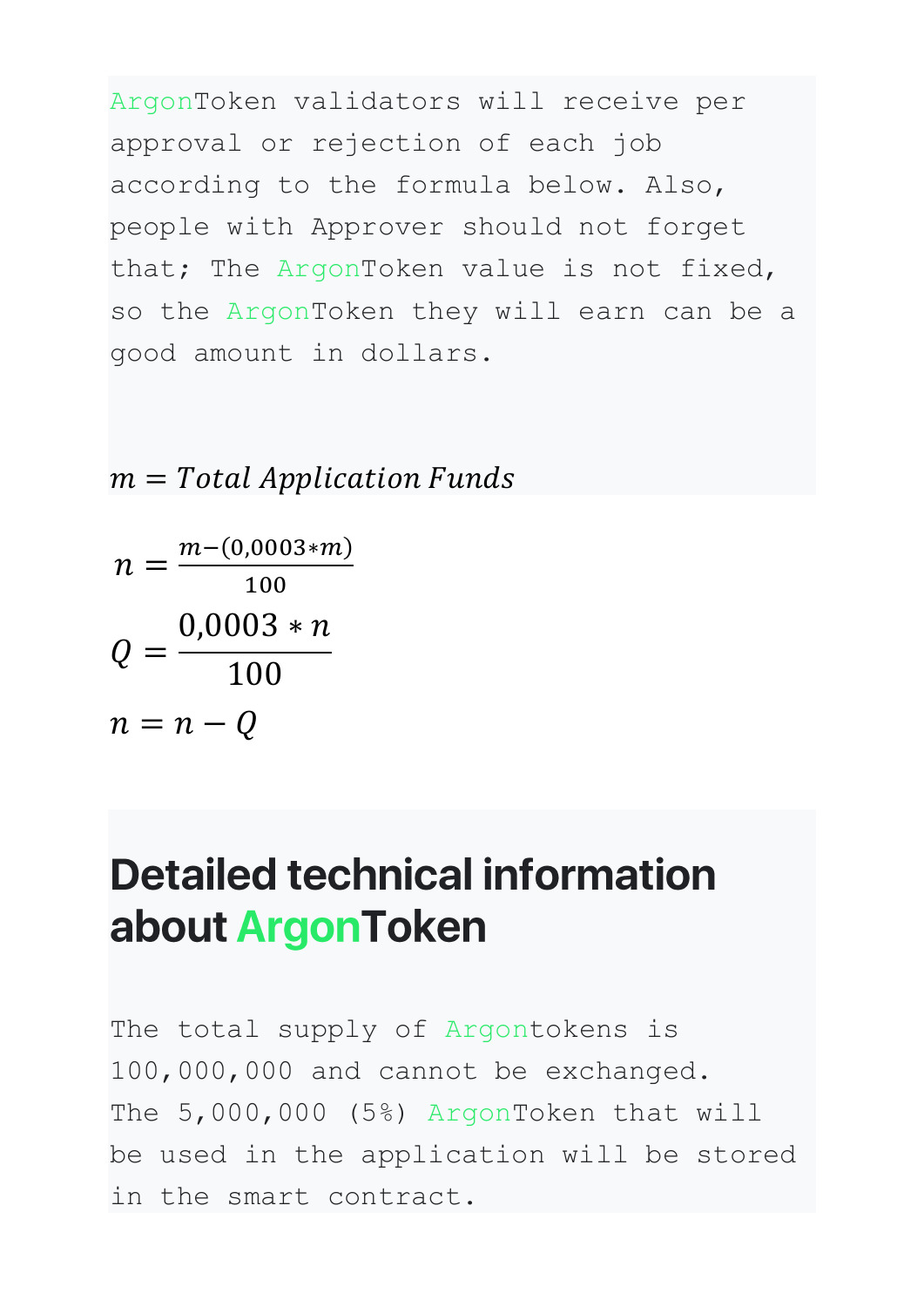ArgonToken validators will receive per approval or rejection of each job according to the formula below. Also, people with Approver should not forget that; The ArgonToken value is not fixed, so the ArgonToken they will earn can be a good amount in dollars.

 $m = Total Application Funds$ 

$$
n = \frac{m - (0.0003 * m)}{100}
$$

$$
Q = \frac{0.0003 * n}{100}
$$

$$
n = n - Q
$$

#### **Detailed technical information** about ArgonToken

The total supply of Argontokens is 100,000,000 and cannot be exchanged. The 5,000,000 (5%) ArgonToken that will be used in the application will be stored in the smart contract.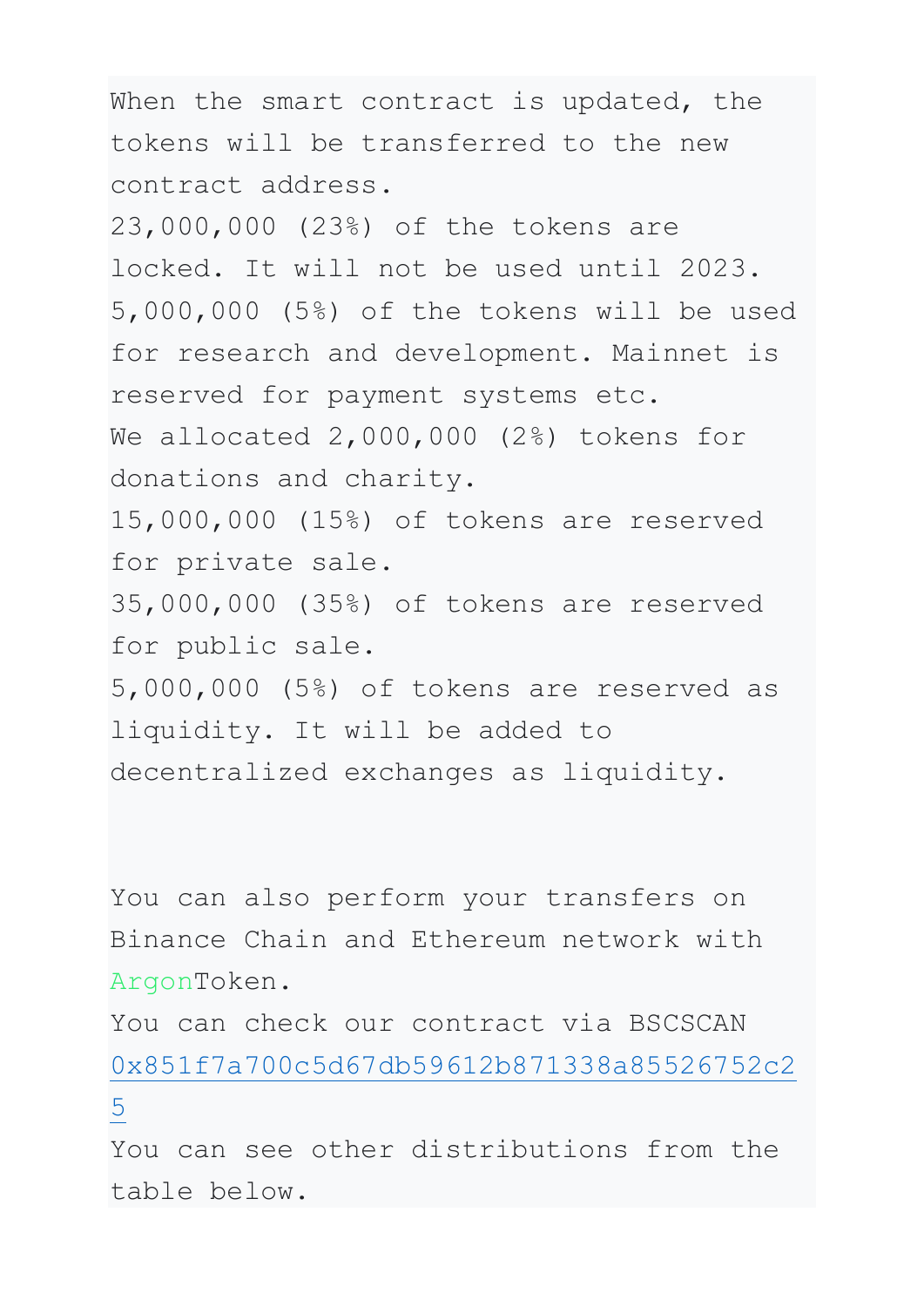When the smart contract is updated, the tokens will be transferred to the new contract address.

23,000,000 (23%) of the tokens are locked. It will not be used until 2023. 5,000,000 (5%) of the tokens will be used for research and development. Mainnet is reserved for payment systems etc. We allocated 2,000,000 (2%) tokens for donations and charity. 15,000,000 (15%) of tokens are reserved for private sale.

35,000,000 (35%) of tokens are reserved for public sale.

5,000,000 (5%) of tokens are reserved as liquidity. It will be added to decentralized exchanges as liquidity.

You can also perform your transfers on Binance Chain and Ethereum network with ArgonToken.

You can check our contract via BSCSCAN [0x851f7a700c5d67db59612b871338a85526752c2](https://bscscan.com/token/0x851f7a700c5d67db59612b871338a85526752c25)

[5](https://bscscan.com/token/0x851f7a700c5d67db59612b871338a85526752c25)

You can see other distributions from the table below.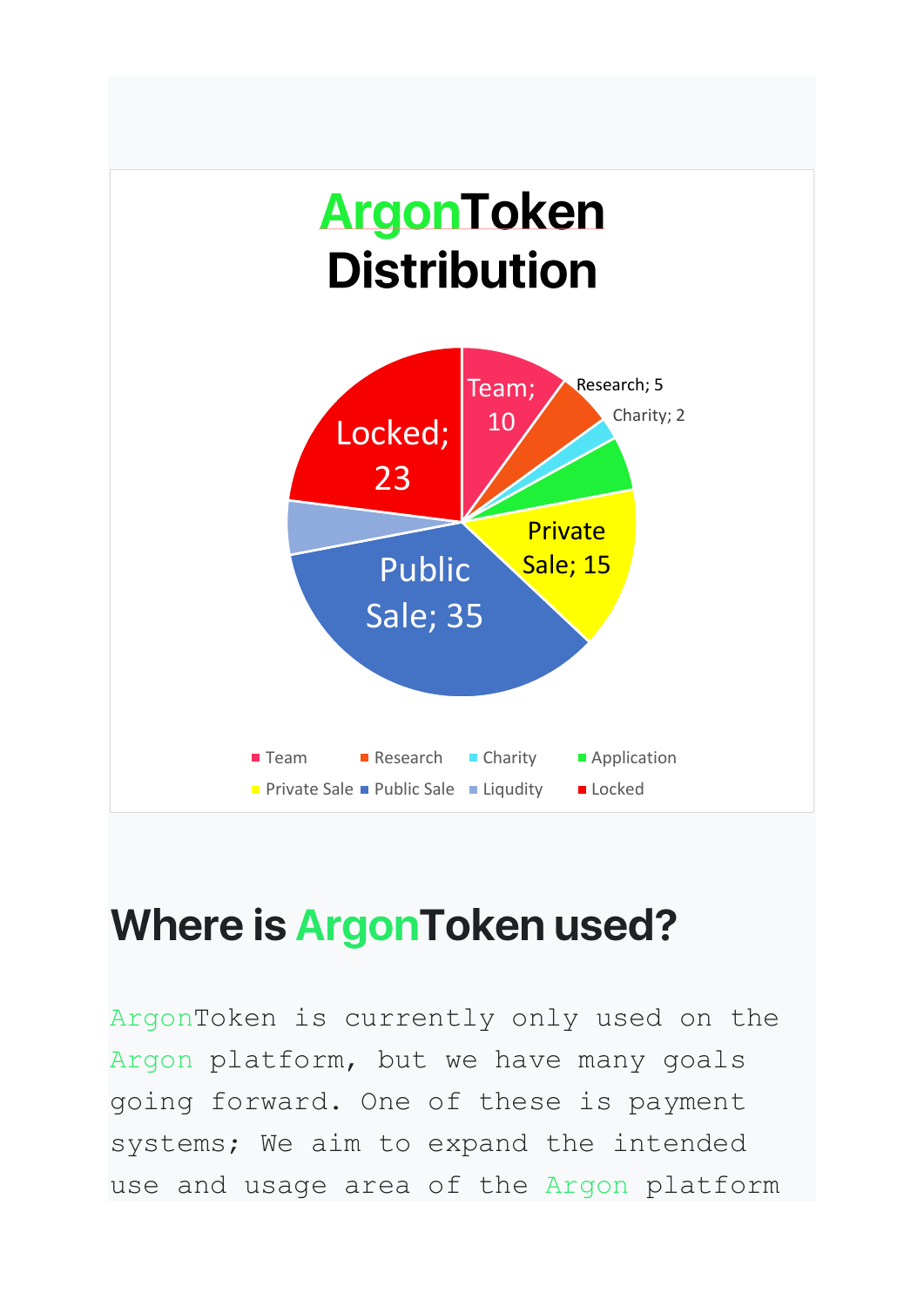

#### **Where is ArgonToken used?**

ArgonToken is currently only used on the Argon platform, but we have many goals going forward. One of these is payment systems; We aim to expand the intended use and usage area of the Argon platform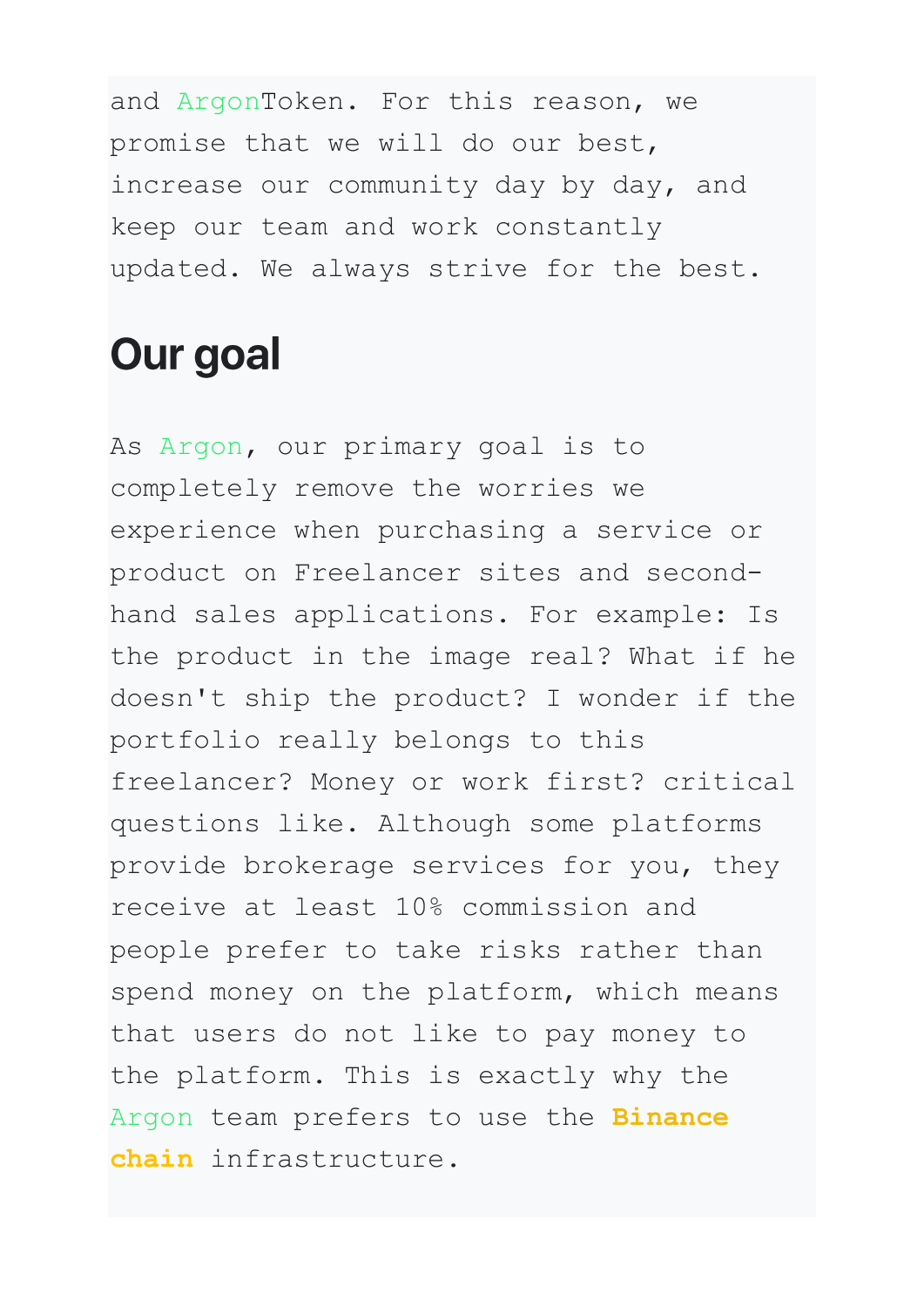and ArgonToken. For this reason, we promise that we will do our best, increase our community day by day, and keep our team and work constantly updated. We always strive for the best.

#### **Our goal**

As Argon, our primary goal is to completely remove the worries we experience when purchasing a service or product on Freelancer sites and secondhand sales applications. For example: Is the product in the image real? What if he doesn't ship the product? I wonder if the portfolio really belongs to this freelancer? Money or work first? critical questions like. Although some platforms provide brokerage services for you, they receive at least 10% commission and people prefer to take risks rather than spend money on the platform, which means that users do not like to pay money to the platform. This is exactly why the Argon team prefers to use the **Binance chain** infrastructure.